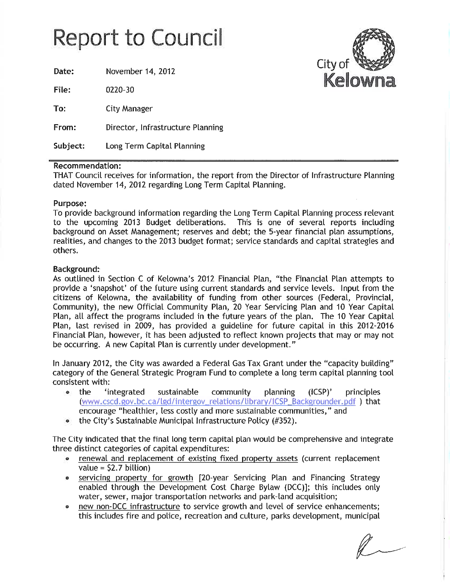# **Report to Council**

Date: November 14, 2012 File: 0220-30 To: **City Manager** From: Director, Infrastructure Planning Subject: Long Term Capital Planning

### **Recommendation:**

THAT Council receives for information, the report from the Director of Infrastructure Planning dated November 14, 2012 regarding Long Term Capital Planning.

### Purpose:

To provide background information regarding the Long Term Capital Planning process relevant to the upcoming 2013 Budget deliberations. This is one of several reports including background on Asset Management; reserves and debt; the 5-year financial plan assumptions, realities, and changes to the 2013 budget format; service standards and capital strategies and others.

### **Background:**

As outlined in Section C of Kelowna's 2012 Financial Plan, "the Financial Plan attempts to provide a 'snapshot' of the future using current standards and service levels. Input from the citizens of Kelowna, the availability of funding from other sources (Federal, Provincial, Community), the new Official Community Plan, 20 Year Servicing Plan and 10 Year Capital Plan, all affect the programs included in the future years of the plan. The 10 Year Capital Plan, last revised in 2009, has provided a guideline for future capital in this 2012-2016 Financial Plan, however, it has been adjusted to reflect known projects that may or may not be occurring. A new Capital Plan is currently under development."

In January 2012, the City was awarded a Federal Gas Tax Grant under the "capacity building" category of the General Strategic Program Fund to complete a long term capital planning tool consistent with:

- $\bullet$  the 'integrated sustainable community planning  $(ICSP)'$ principles (www.cscd.gov.bc.ca/lgd/intergov\_relations/library/ICSP\_Backgrounder.pdf )\_that encourage "healthier, less costly and more sustainable communities," and
- the City's Sustainable Municipal Infrastructure Policy (#352).  $\bullet$

The City indicated that the final long term capital plan would be comprehensive and integrate three distinct categories of capital expenditures:

- renewal and replacement of existing fixed property assets (current replacement value =  $$2.7$  billion)
- servicing property for growth [20-year Servicing Plan and Financing Strategy enabled through the Development Cost Charge Bylaw (DCC)]; this includes only water, sewer, major transportation networks and park-land acquisition;
- new non-DCC infrastructure to service growth and level of service enhancements; this includes fire and police, recreation and culture, parks development, municipal

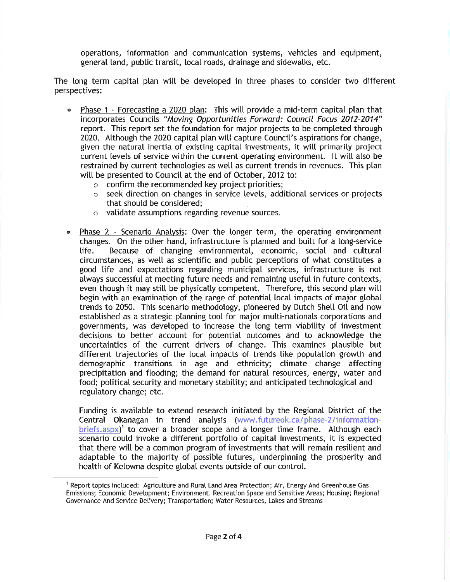operations, information and communication systems, vehicles and equipment, general land, public transit, local roads, drainage and sidewalks, etc.

The long term capital plan will be developed in three phases to consider two different perspectives:

- Phase 1 Forecasting a 2020 plan: This will provide a mid-term capital plan that  $\bullet$ incorporates Councils "Moving Opportunities Forward: Council Focus 2012-2014" report. This report set the foundation for major projects to be completed through 2020. Although the 2020 capital plan will capture Council's aspirations for change, given the natural inertia of existing capital investments, it will primarily project current levels of service within the current operating environment. It will also be restrained by current technologies as well as current trends in revenues. This plan will be presented to Council at the end of October, 2012 to:
	- $\circ$  confirm the recommended key project priorities;
	- o seek direction on changes in service levels, additional services or projects that should be considered;
	- o validate assumptions regarding revenue sources.
- Phase 2 Scenario Analysis: Over the longer term, the operating environment changes. On the other hand, infrastructure is planned and built for a long-service Because of changing environmental, economic, social and cultural life. circumstances, as well as scientific and public perceptions of what constitutes a good life and expectations regarding municipal services, infrastructure is not always successful at meeting future needs and remaining useful in future contexts, even though it may still be physically competent. Therefore, this second plan will begin with an examination of the range of potential local impacts of major global trends to 2050. This scenario methodology, pioneered by Dutch Shell Oil and now established as a strategic planning tool for major multi-nationals corporations and governments, was developed to increase the long term viability of investment decisions to better account for potential outcomes and to acknowledge the uncertainties of the current drivers of change. This examines plausible but different trajectories of the local impacts of trends like population growth and demographic transitions in age and ethnicity; climate change affecting precipitation and flooding; the demand for natural resources, energy, water and food; political security and monetary stability; and anticipated technological and regulatory change; etc.

Funding is available to extend research initiated by the Regional District of the Central Okanagan in trend analysis (www.futureok.ca/phase-2/information- $\text{briefs.aspx}$ <sup>1</sup> to cover a broader scope and a longer time frame. Although each scenario could invoke a different portfolio of capital investments, it is expected that there will be a common program of investments that will remain resilient and adaptable to the majority of possible futures, underpinning the prosperity and health of Kelowna despite global events outside of our control.

<sup>&</sup>lt;sup>1</sup> Report topics included: Agriculture and Rural Land Area Protection; Air, Energy And Greenhouse Gas Emissions; Economic Development; Environment, Recreation Space and Sensitive Areas; Housing; Regional Governance And Service Delivery; Transportation; Water Resources, Lakes and Streams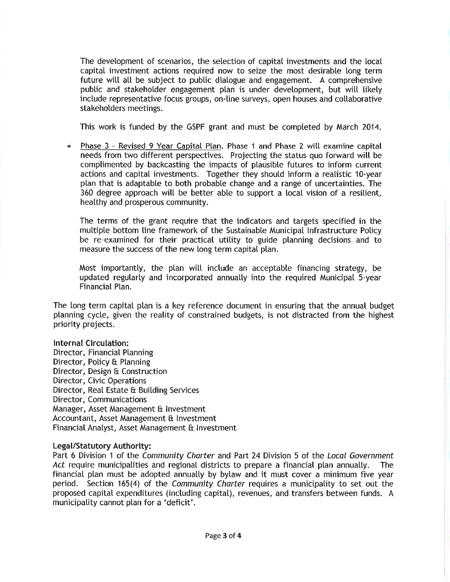The development of scenarios, the selection of capital investments and the local capital investment actions required now to seize the most desirable long term future will all be subject to public dialogue and engagement. A comprehensive public and stakeholder engagement plan is under development, but will likely include representative focus groups, on-line surveys, open houses and collaborative stakeholders meetings.

This work is funded by the GSPF grant and must be completed by March 2014.

Phase 3 - Revised 9 Year Capital Plan. Phase 1 and Phase 2 will examine capital needs from two different perspectives. Projecting the status quo forward will be complimented by backcasting the impacts of plausible futures to inform current actions and capital investments. Together they should inform a realistic 10-year plan that is adaptable to both probable change and a range of uncertainties. The 360 degree approach will be better able to support a local vision of a resilient, healthy and prosperous community.

The terms of the grant require that the indicators and targets specified in the multiple bottom line framework of the Sustainable Municipal Infrastructure Policy be re-examined for their practical utility to guide planning decisions and to measure the success of the new long term capital plan.

Most importantly, the plan will include an acceptable financing strategy, be updated regularly and incorporated annually into the required Municipal 5-year Financial Plan.

The long term capital plan is a key reference document in ensuring that the annual budget planning cycle, given the reality of constrained budgets, is not distracted from the highest priority projects.

### **Internal Circulation:**

Director, Financial Planning Director, Policy & Planning Director, Design & Construction Director, Civic Operations Director, Real Estate & Building Services Director, Communications Manager, Asset Management & Investment Accountant, Asset Management & Investment Financial Analyst, Asset Management & Investment

### Legal/Statutory Authority:

Part 6 Division 1 of the Community Charter and Part 24 Division 5 of the Local Government Act require municipalities and regional districts to prepare a financial plan annually. **The** financial plan must be adopted annually by bylaw and it must cover a minimum five year period. Section 165(4) of the Community Charter requires a municipality to set out the proposed capital expenditures (including capital), revenues, and transfers between funds. A municipality cannot plan for a 'deficit'.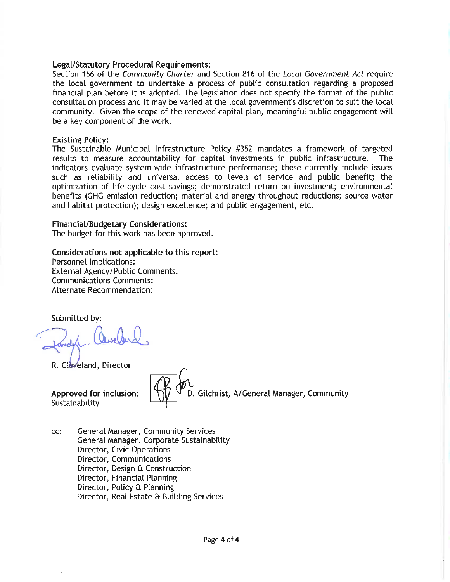### **Legal/Statutory Procedural Requirements:**

Section 166 of the Community Charter and Section 816 of the Local Government Act require the local government to undertake a process of public consultation regarding a proposed financial plan before it is adopted. The legislation does not specify the format of the public consultation process and it may be varied at the local government's discretion to suit the local community. Given the scope of the renewed capital plan, meaningful public engagement will be a key component of the work.

#### **Existing Policy:**

The Sustainable Municipal Infrastructure Policy #352 mandates a framework of targeted results to measure accountability for capital investments in public infrastructure. **The** indicators evaluate system-wide infrastructure performance; these currently include issues such as reliability and universal access to levels of service and public benefit; the optimization of life-cycle cost savings; demonstrated return on investment; environmental benefits (GHG emission reduction; material and energy throughput reductions; source water and habitat protection); design excellence; and public engagement, etc.

#### **Financial/Budgetary Considerations:**

The budget for this work has been approved.

#### Considerations not applicable to this report:

Personnel Implications: **External Agency/Public Comments: Communications Comments:** Alternate Recommendation:

Submitted by:

R. Cleveland, Director

Approved for inclusion: Sustainability

D. Gilchrist, A/General Manager, Community

General Manager, Community Services CC: General Manager, Corporate Sustainability Director, Civic Operations Director, Communications Director, Design & Construction Director, Financial Planning Director, Policy & Planning Director, Real Estate & Building Services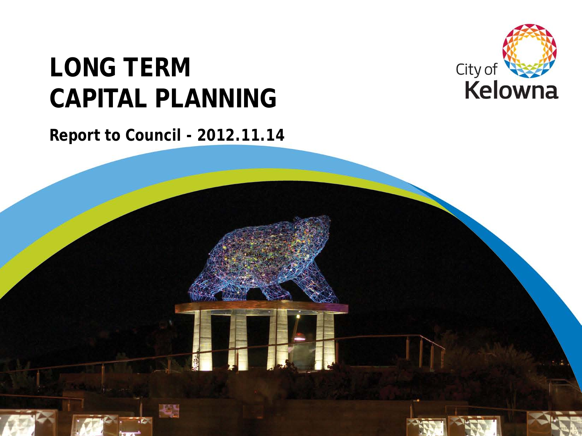# **LONG TERM CAPITAL PLANNING**



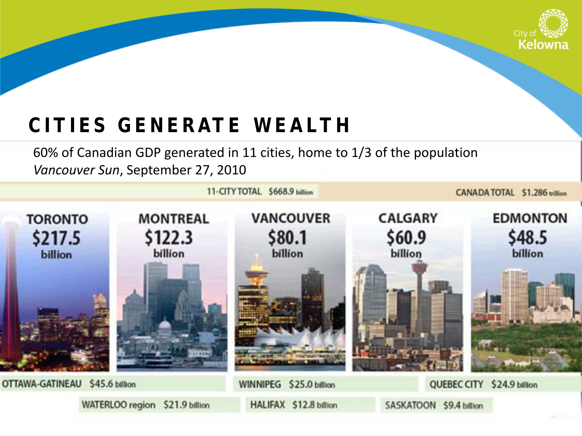

### **CITIES GENERATE WEALTH**

60% of Canadian GDP generated in 11 cities, home to 1/3 of the population *Vancouver Sun*, September 27, 2010

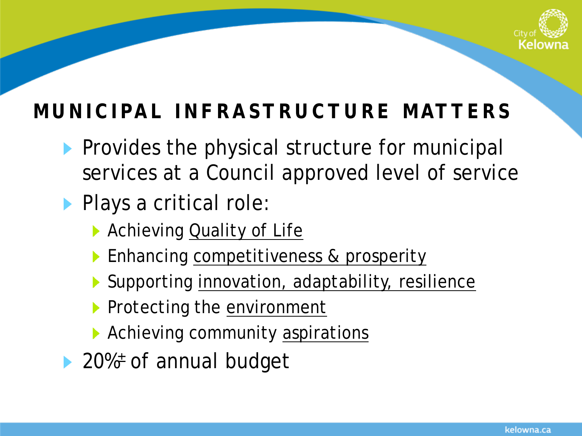

## **MUNICIPAL INFRASTRUCTURE MATTERS**

- Provides the physical structure for municipal services at a Council approved level of service
- **Plays a critical role:** 
	- **Achieving Quality of Life**
	- **Enhancing competitiveness & prosperity**
	- ▶ Supporting innovation, adaptability, resilience
	- Protecting the environment
	- Achieving community aspirations
- ▶ 20%<sup>±</sup> of annual budget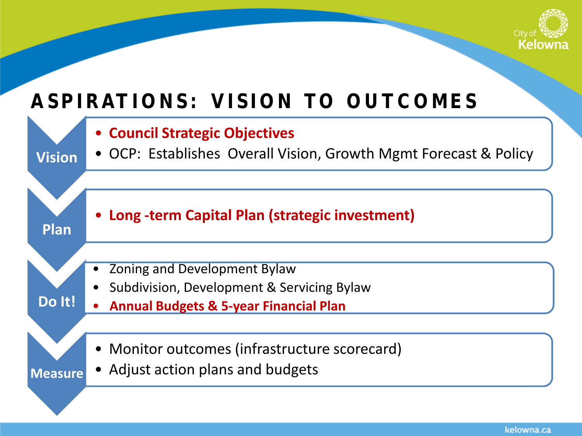

### **ASPIRATIONS: VISION TO OUTCOMES**

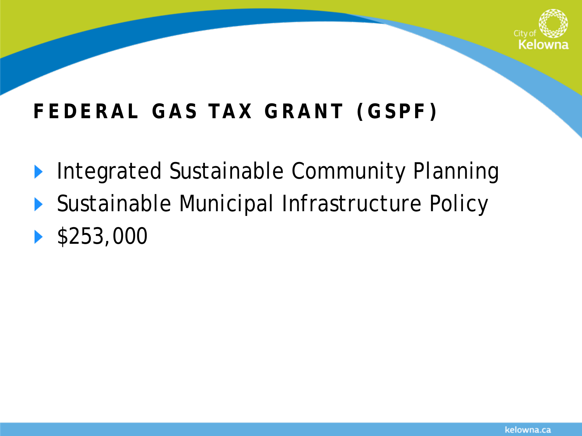

## **FEDERAL GAS TAX GRANT (GSPF)**

- Integrated Sustainable Community Planning  $\blacktriangleright$
- ▶ Sustainable Municipal Infrastructure Policy
- $\blacktriangleright$  \$253,000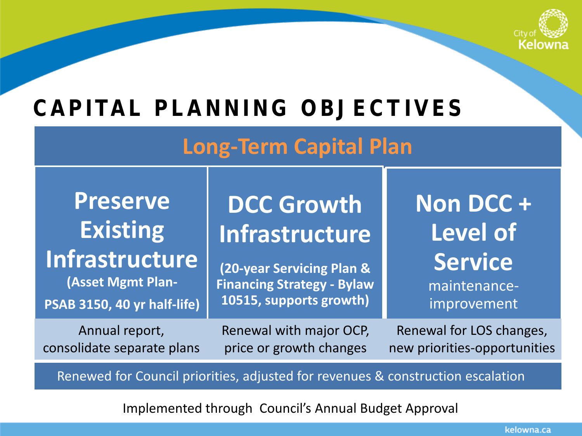

# **CAPITAL PLANNING OBJECTIVES**

### **Long-Term Capital Plan**

**DCC Growth** 

**Infrastructure** 

**(20-year Servicing Plan & Financing Strategy - Bylaw 10515, supports growth)**

# **Preserve Existing**

## **Infrastructure**

**(Asset Mgmt Plan-**

**PSAB 3150, 40 yr half-life)**

Annual report, consolidate separate plans Renewal with major OCP, price or growth changes

**Non DCC + Level of Service**  maintenanceimprovement

Renewal for LOS changes, new priorities-opportunities

Renewed for Council priorities, adjusted for revenues & construction escalation

Implemented through Council's Annual Budget Approval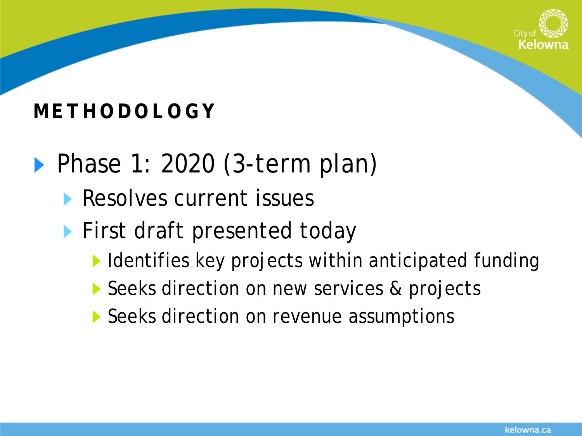

### **METHODOLOGY**

- Phase 1: 2020 (3-term plan)
	- **Resolves current issues**
	- **First draft presented today** 
		- $\blacktriangleright$  Identifies key projects within anticipated funding
		- Seeks direction on new services & projects
		- Seeks direction on revenue assumptions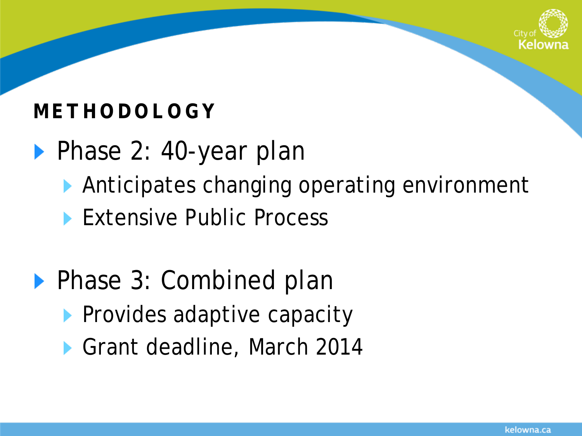

### **METHODOLOGY**

- ▶ Phase 2: 40-year plan
	- Anticipates changing operating environment
	- **Extensive Public Process**
- ▶ Phase 3: Combined plan
	- **Provides adaptive capacity**
	- ▶ Grant deadline, March 2014